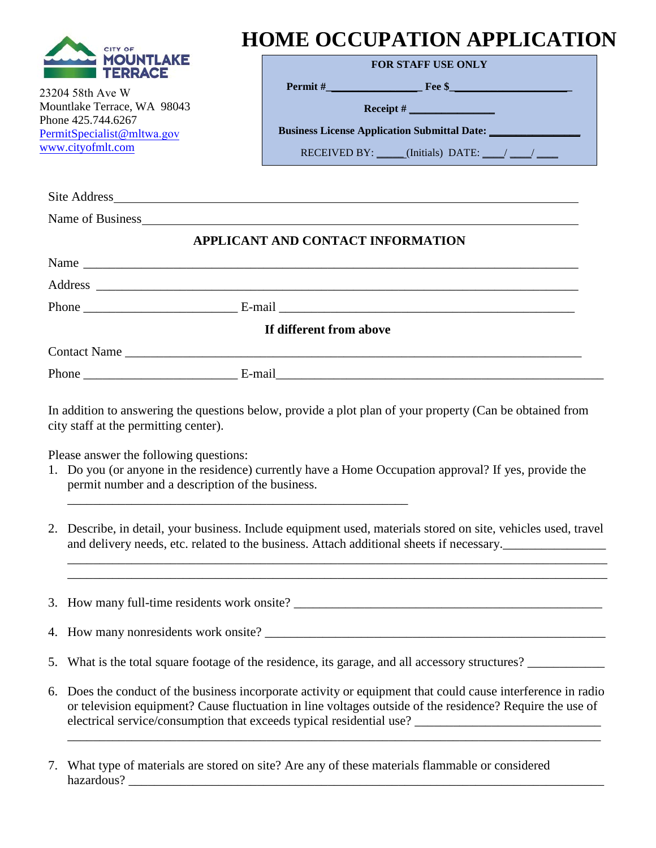| <b>CITY OF</b>                                                                                                                      | <b>HOME OCCUPATION APPLICATION</b>                                                                                                                                                                                                                                                                                                                                                                                  |
|-------------------------------------------------------------------------------------------------------------------------------------|---------------------------------------------------------------------------------------------------------------------------------------------------------------------------------------------------------------------------------------------------------------------------------------------------------------------------------------------------------------------------------------------------------------------|
|                                                                                                                                     | <b>FOR STAFF USE ONLY</b>                                                                                                                                                                                                                                                                                                                                                                                           |
| <b>TERRACE</b>                                                                                                                      | $\textbf{Permit}\ \#$ Fee \$                                                                                                                                                                                                                                                                                                                                                                                        |
| 23204 58th Ave W<br>Mountlake Terrace, WA 98043                                                                                     | $\textbf{Receipt} \#$                                                                                                                                                                                                                                                                                                                                                                                               |
| Phone 425.744.6267                                                                                                                  | <b>Business License Application Submittal Date:</b>                                                                                                                                                                                                                                                                                                                                                                 |
| PermitSpecialist@mltwa.gov<br>www.cityofmlt.com                                                                                     | RECEIVED BY: $\_\_\_\_\$ (Initials) DATE: / /                                                                                                                                                                                                                                                                                                                                                                       |
|                                                                                                                                     |                                                                                                                                                                                                                                                                                                                                                                                                                     |
|                                                                                                                                     | Site Address <u>and a series of the series of the series of the series of the series of the series of the series of the series of the series of the series of the series of the series of the series of the series of the series</u>                                                                                                                                                                                |
|                                                                                                                                     | Name of Business experience and the set of Business and the set of the set of Business and the set of the set of the set of the set of the set of the set of the set of the set of the set of the set of the set of the set of                                                                                                                                                                                      |
|                                                                                                                                     | APPLICANT AND CONTACT INFORMATION                                                                                                                                                                                                                                                                                                                                                                                   |
|                                                                                                                                     | Name                                                                                                                                                                                                                                                                                                                                                                                                                |
|                                                                                                                                     |                                                                                                                                                                                                                                                                                                                                                                                                                     |
|                                                                                                                                     | Phone E-mail E-mail E-mail E-mail E-mail E-mail E-mail E-mail E-mail E-mail E-mail E-mail E-mail E-mail E-mail E-mail E-mail E-mail E-mail E-mail E-mail E-mail E-mail E-mail E-mail E-mail E-mail E-mail E-mail E-mail E-mail                                                                                                                                                                                      |
|                                                                                                                                     | If different from above                                                                                                                                                                                                                                                                                                                                                                                             |
|                                                                                                                                     |                                                                                                                                                                                                                                                                                                                                                                                                                     |
|                                                                                                                                     |                                                                                                                                                                                                                                                                                                                                                                                                                     |
| city staff at the permitting center).<br>Please answer the following questions:<br>permit number and a description of the business. | In addition to answering the questions below, provide a plot plan of your property (Can be obtained from<br>1. Do you (or anyone in the residence) currently have a Home Occupation approval? If yes, provide the                                                                                                                                                                                                   |
| 2.                                                                                                                                  | Describe, in detail, your business. Include equipment used, materials stored on site, vehicles used, travel<br>and delivery needs, etc. related to the business. Attach additional sheets if necessary.<br><u> 1989 - Jan James James James James James James James James James James James James James James James James J</u><br>,我们也不会有什么。""我们的人,我们也不会有什么?""我们的人,我们也不会有什么?""我们的人,我们也不会有什么?""我们的人,我们也不会有什么?""我们的人 |
|                                                                                                                                     |                                                                                                                                                                                                                                                                                                                                                                                                                     |
| 4.                                                                                                                                  |                                                                                                                                                                                                                                                                                                                                                                                                                     |
| 5.                                                                                                                                  | What is the total square footage of the residence, its garage, and all accessory structures?                                                                                                                                                                                                                                                                                                                        |
| 6.                                                                                                                                  | Does the conduct of the business incorporate activity or equipment that could cause interference in radio<br>or television equipment? Cause fluctuation in line voltages outside of the residence? Require the use of<br>electrical service/consumption that exceeds typical residential use? ______________________________                                                                                        |
| 7.                                                                                                                                  | What type of materials are stored on site? Are any of these materials flammable or considered                                                                                                                                                                                                                                                                                                                       |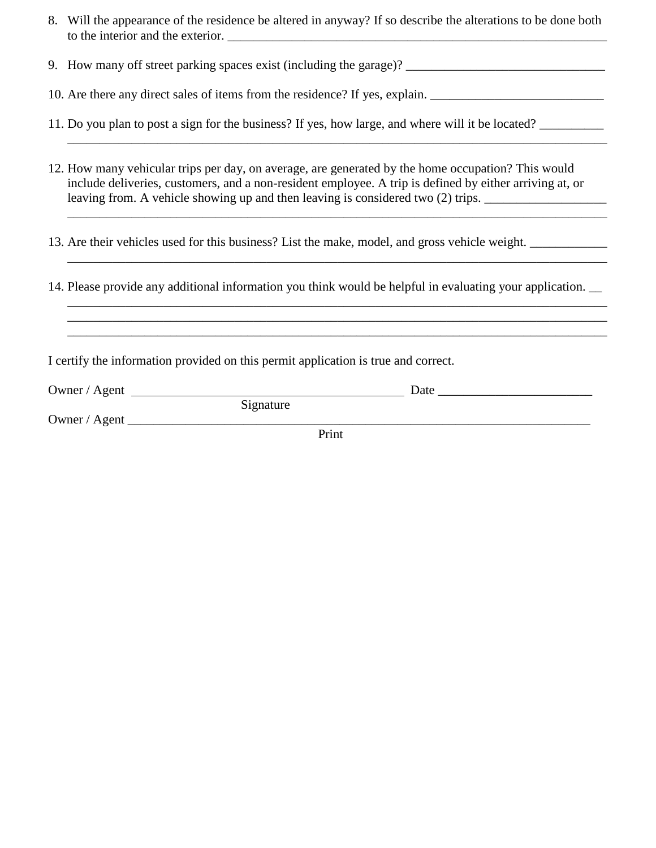- 8. Will the appearance of the residence be altered in anyway? If so describe the alterations to be done both to the interior and the exterior.
- 9. How many off street parking spaces exist (including the garage)? \_\_\_\_\_\_\_\_\_\_\_\_\_\_\_\_\_\_\_\_\_\_\_\_\_\_\_\_\_\_\_
- 10. Are there any direct sales of items from the residence? If yes, explain.
- 11. Do you plan to post a sign for the business? If yes, how large, and where will it be located? \_\_\_\_\_\_\_\_\_\_
- 12. How many vehicular trips per day, on average, are generated by the home occupation? This would include deliveries, customers, and a non-resident employee. A trip is defined by either arriving at, or leaving from. A vehicle showing up and then leaving is considered two (2) trips. \_\_\_\_\_\_\_\_\_\_\_\_\_\_\_\_\_\_\_\_\_\_\_\_\_\_\_\_\_

\_\_\_\_\_\_\_\_\_\_\_\_\_\_\_\_\_\_\_\_\_\_\_\_\_\_\_\_\_\_\_\_\_\_\_\_\_\_\_\_\_\_\_\_\_\_\_\_\_\_\_\_\_\_\_\_\_\_\_\_\_\_\_\_\_\_\_\_\_\_\_\_\_\_\_\_\_\_\_\_\_\_\_\_

\_\_\_\_\_\_\_\_\_\_\_\_\_\_\_\_\_\_\_\_\_\_\_\_\_\_\_\_\_\_\_\_\_\_\_\_\_\_\_\_\_\_\_\_\_\_\_\_\_\_\_\_\_\_\_\_\_\_\_\_\_\_\_\_\_\_\_\_\_\_\_\_\_\_\_\_\_\_\_\_\_\_\_\_ \_\_\_\_\_\_\_\_\_\_\_\_\_\_\_\_\_\_\_\_\_\_\_\_\_\_\_\_\_\_\_\_\_\_\_\_\_\_\_\_\_\_\_\_\_\_\_\_\_\_\_\_\_\_\_\_\_\_\_\_\_\_\_\_\_\_\_\_\_\_\_\_\_\_\_\_\_\_\_\_\_\_\_\_ \_\_\_\_\_\_\_\_\_\_\_\_\_\_\_\_\_\_\_\_\_\_\_\_\_\_\_\_\_\_\_\_\_\_\_\_\_\_\_\_\_\_\_\_\_\_\_\_\_\_\_\_\_\_\_\_\_\_\_\_\_\_\_\_\_\_\_\_\_\_\_\_\_\_\_\_\_\_\_\_\_\_\_\_

- 13. Are their vehicles used for this business? List the make, model, and gross vehicle weight.
- 14. Please provide any additional information you think would be helpful in evaluating your application. \_\_

I certify the information provided on this permit application is true and correct.

| Owner / Agent |           | Date |
|---------------|-----------|------|
|               | Signature |      |
| Owner / Agent |           |      |
|               | Print     |      |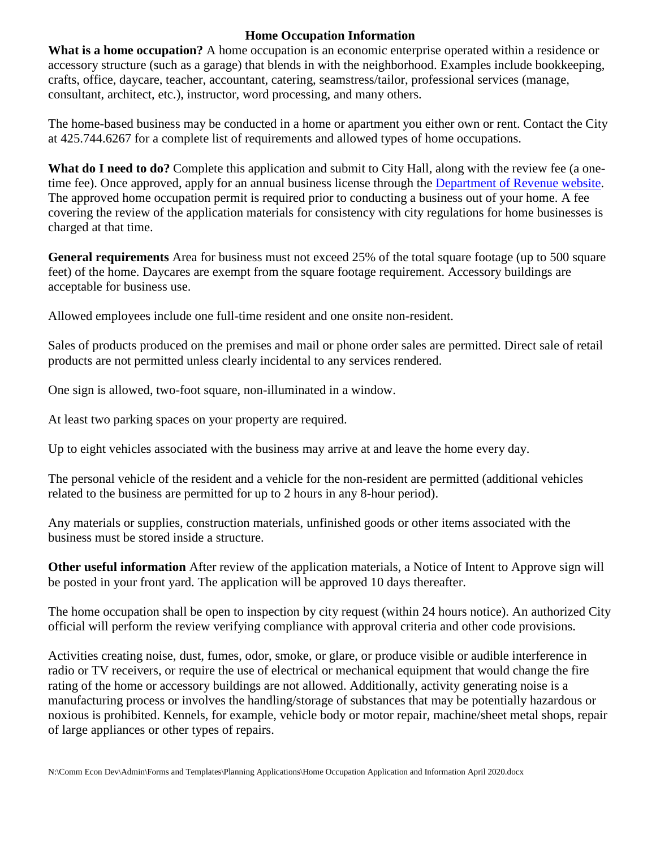## **Home Occupation Information**

**What is a home occupation?** A home occupation is an economic enterprise operated within a residence or accessory structure (such as a garage) that blends in with the neighborhood. Examples include bookkeeping, crafts, office, daycare, teacher, accountant, catering, seamstress/tailor, professional services (manage, consultant, architect, etc.), instructor, word processing, and many others.

The home-based business may be conducted in a home or apartment you either own or rent. Contact the City at 425.744.6267 for a complete list of requirements and allowed types of home occupations.

**What do I need to do?** Complete this application and submit to City Hall, along with the review fee (a onetime fee). Once approved, apply for an annual business license through the [Department of Revenue website.](https://dor.wa.gov/manage-business/city-license-endorsements/mountlake-terrace) The approved home occupation permit is required prior to conducting a business out of your home. A fee covering the review of the application materials for consistency with city regulations for home businesses is charged at that time.

**General requirements** Area for business must not exceed 25% of the total square footage (up to 500 square feet) of the home. Daycares are exempt from the square footage requirement. Accessory buildings are acceptable for business use.

Allowed employees include one full-time resident and one onsite non-resident.

Sales of products produced on the premises and mail or phone order sales are permitted. Direct sale of retail products are not permitted unless clearly incidental to any services rendered.

One sign is allowed, two-foot square, non-illuminated in a window.

At least two parking spaces on your property are required.

Up to eight vehicles associated with the business may arrive at and leave the home every day.

The personal vehicle of the resident and a vehicle for the non-resident are permitted (additional vehicles related to the business are permitted for up to 2 hours in any 8-hour period).

Any materials or supplies, construction materials, unfinished goods or other items associated with the business must be stored inside a structure.

**Other useful information** After review of the application materials, a Notice of Intent to Approve sign will be posted in your front yard. The application will be approved 10 days thereafter.

The home occupation shall be open to inspection by city request (within 24 hours notice). An authorized City official will perform the review verifying compliance with approval criteria and other code provisions.

Activities creating noise, dust, fumes, odor, smoke, or glare, or produce visible or audible interference in radio or TV receivers, or require the use of electrical or mechanical equipment that would change the fire rating of the home or accessory buildings are not allowed. Additionally, activity generating noise is a manufacturing process or involves the handling/storage of substances that may be potentially hazardous or noxious is prohibited. Kennels, for example, vehicle body or motor repair, machine/sheet metal shops, repair of large appliances or other types of repairs.